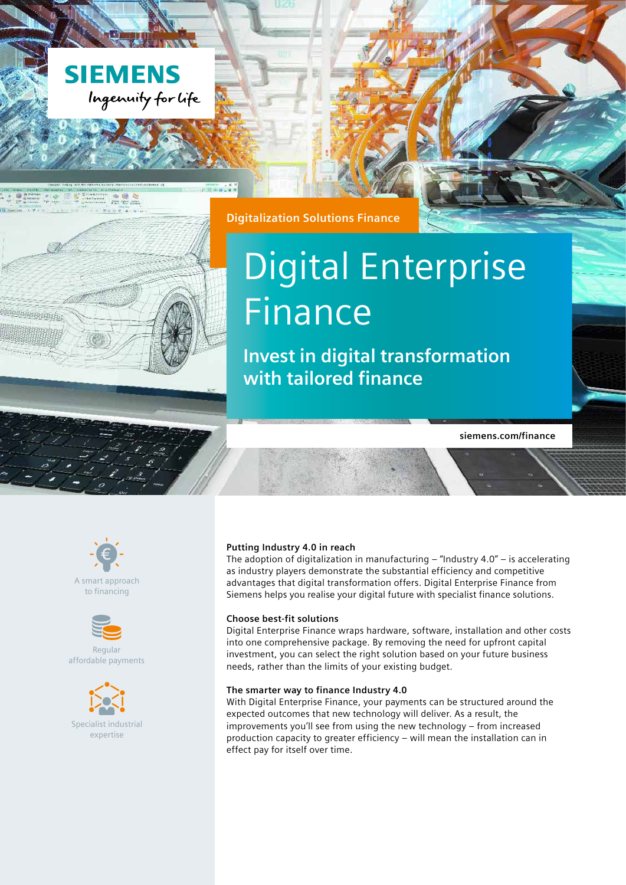



# Digital Enterprise Finance

**Invest in digital transformation with tailored finance**

**siemens.com/finance**



**MAHARAHAHA** 

A smart approach to financing



Regular affordable payments



#### **Putting Industry 4.0 in reach**

The adoption of digitalization in manufacturing  $-$  "Industry 4.0"  $-$  is accelerating as industry players demonstrate the substantial efficiency and competitive advantages that digital transformation offers. Digital Enterprise Finance from Siemens helps you realise your digital future with specialist finance solutions.

#### **Choose best-fit solutions**

Digital Enterprise Finance wraps hardware, software, installation and other costs into one comprehensive package. By removing the need for upfront capital investment, you can select the right solution based on your future business needs, rather than the limits of your existing budget.

#### **The smarter way to finance Industry 4.0**

With Digital Enterprise Finance, your payments can be structured around the expected outcomes that new technology will deliver. As a result, the improvements you'll see from using the new technology – from increased production capacity to greater efficiency – will mean the installation can in effect pay for itself over time.